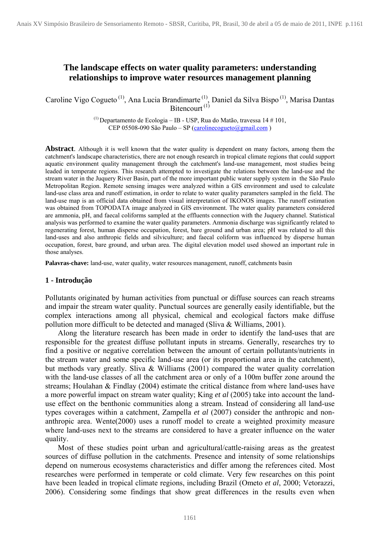# **The landscape effects on water quality parameters: understanding relationships to improve water resources management planning**

Caroline Vigo Cogueto<sup>(1)</sup>, Ana Lucia Brandimarte<sup>(1)</sup>, Daniel da Silva Bispo<sup>(1)</sup>, Marisa Dantas Bitencourt<sup>(1)</sup>

> $(1)$  Departamento de Ecologia – IB - USP, Rua do Matão, travessa 14 # 101, CEP 05508-090 São Paulo – SP (carolinecogueto@gmail.com )

**Abstract**. Although it is well known that the water quality is dependent on many factors, among them the catchment's landscape characteristics, there are not enough research in tropical climate regions that could support aquatic environment quality management through the catchment's land-use management, most studies being leaded in temperate regions. This research attempted to investigate the relations between the land-use and the stream water in the Juquery River Basin, part of the more important public water supply system in the São Paulo Metropolitan Region. Remote sensing images were analyzed within a GIS environment and used to calculate land-use class area and runoff estimation, in order to relate to water quality parameters sampled in the field. The land-use map is an official data obtained from visual interpretation of IKONOS images. The runoff estimation was obtained from TOPODATA image analyzed in GIS environment. The water quality parameters considered are ammonia, pH, and faecal coliforms sampled at the effluents connection with the Juquery channel. Statistical analysis was performed to examine the water quality parameters. Ammonia discharge was significantly related to regenerating forest, human disperse occupation, forest, bare ground and urban area; pH was related to all this land-uses and also anthropic fields and silviculture; and faecal coliform was influenced by disperse human occupation, forest, bare ground, and urban area. The digital elevation model used showed an important rule in those analyses.

**Palavras-chave:** land-use, water quality, water resources management, runoff, catchments basin

### **1 - Introdução**

Pollutants originated by human activities from punctual or diffuse sources can reach streams and impair the stream water quality. Punctual sources are generally easily identifiable, but the complex interactions among all physical, chemical and ecological factors make diffuse pollution more difficult to be detected and managed (Sliva & Williams, 2001).

 Along the literature research has been made in order to identify the land-uses that are responsible for the greatest diffuse pollutant inputs in streams. Generally, researches try to find a positive or negative correlation between the amount of certain pollutants/nutrients in the stream water and some specific land-use area (or its proportional area in the catchment), but methods vary greatly. Sliva & Williams (2001) compared the water quality correlation with the land-use classes of all the catchment area or only of a 100m buffer zone around the streams; Houlahan & Findlay (2004) estimate the critical distance from where land-uses have a more powerful impact on stream water quality; King *et al* (2005) take into account the landuse effect on the benthonic communities along a stream. Instead of considering all land-use types coverages within a catchment, Zampella *et al* (2007) consider the anthropic and nonanthropic area. Wente(2000) uses a runoff model to create a weighted proximity measure where land-uses next to the streams are considered to have a greater influence on the water quality.

 Most of these studies point urban and agricultural/cattle-raising areas as the greatest sources of diffuse pollution in the catchments. Presence and intensity of some relationships depend on numerous ecosystems characteristics and differ among the references cited. Most researches were performed in temperate or cold climate. Very few researches on this point have been leaded in tropical climate regions, including Brazil (Ometo *et al*, 2000; Vetorazzi, 2006). Considering some findings that show great differences in the results even when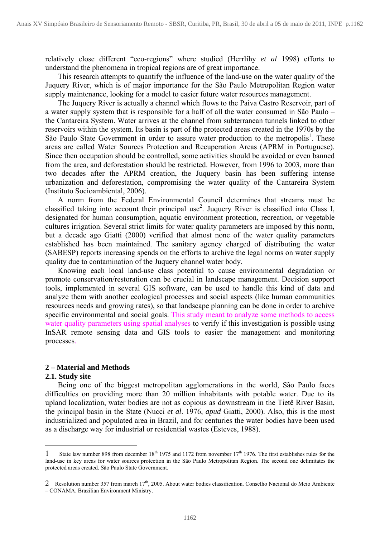relatively close different "eco-regions" where studied (Herrlihy *et al* 1998) efforts to understand the phenomena in tropical regions are of great importance.

 This research attempts to quantify the influence of the land-use on the water quality of the Juquery River, which is of major importance for the São Paulo Metropolitan Region water supply maintenance, looking for a model to easier future water resources management.

The Juquery River is actually a channel which flows to the Paiva Castro Reservoir, part of a water supply system that is responsible for a half of all the water consumed in São Paulo – the Cantareira System. Water arrives at the channel from subterranean tunnels linked to other reservoirs within the system. Its basin is part of the protected areas created in the 1970s by the São Paulo State Government in order to assure water production to the metropolis<sup>1</sup>. These areas are called Water Sources Protection and Recuperation Areas (APRM in Portuguese). Since then occupation should be controlled, some activities should be avoided or even banned from the area, and deforestation should be restricted. However, from 1996 to 2003, more than two decades after the APRM creation, the Juquery basin has been suffering intense urbanization and deforestation, compromising the water quality of the Cantareira System (Instituto Socioambiental, 2006).

 A norm from the Federal Environmental Council determines that streams must be classified taking into account their principal use<sup>2</sup>. Juquery River is classified into Class I, designated for human consumption, aquatic environment protection, recreation, or vegetable cultures irrigation. Several strict limits for water quality parameters are imposed by this norm, but a decade ago Giatti (2000) verified that almost none of the water quality parameters established has been maintained. The sanitary agency charged of distributing the water (SABESP) reports increasing spends on the efforts to archive the legal norms on water supply quality due to contamination of the Juquery channel water body.

 Knowing each local land-use class potential to cause environmental degradation or promote conservation/restoration can be crucial in landscape management. Decision support tools, implemented in several GIS software, can be used to handle this kind of data and analyze them with another ecological processes and social aspects (like human communities resources needs and growing rates), so that landscape planning can be done in order to archive specific environmental and social goals. This study meant to analyze some methods to access water quality parameters using spatial analyses to verify if this investigation is possible using InSAR remote sensing data and GIS tools to easier the management and monitoring processes.

## **2 – Material and Methods**

#### **2.1. Study site**

<u>.</u>

 Being one of the biggest metropolitan agglomerations in the world, São Paulo faces difficulties on providing more than 20 million inhabitants with potable water. Due to its upland localization, water bodies are not as copious as downstream in the Tietê River Basin, the principal basin in the State (Nucci *et al*. 1976, *apud* Giatti, 2000). Also, this is the most industrialized and populated area in Brazil, and for centuries the water bodies have been used as a discharge way for industrial or residential wastes (Esteves, 1988).

<sup>1</sup> State law number 898 from december  $18^{th}$  1975 and 1172 from november  $17^{th}$  1976. The first establishes rules for the land-use in key areas for water sources protection in the São Paulo Metropolitan Region. The second one delimitates the protected areas created. São Paulo State Government.

<sup>2</sup> Resolution number 357 from march  $17<sup>th</sup>$ , 2005. About water bodies classification. Conselho Nacional do Meio Ambiente – CONAMA. Brazilian Environment Ministry.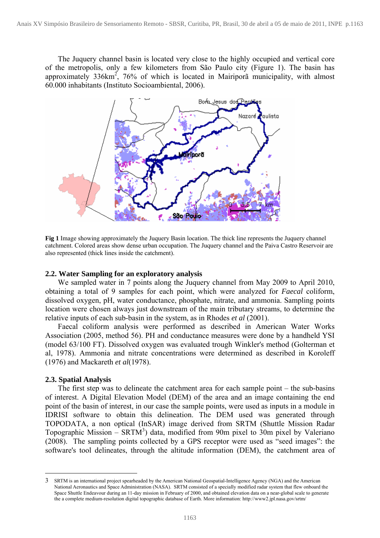The Juquery channel basin is located very close to the highly occupied and vertical core of the metropolis, only a few kilometers from São Paulo city (Figure 1). The basin has approximately  $336 \text{km}^2$ ,  $76\%$  of which is located in Mairipora municipality, with almost 60.000 inhabitants (Instituto Socioambiental, 2006).



**Fig 1** Image showing approximately the Juquery Basin location. The thick line represents the Juquery channel catchment. Colored areas show dense urban occupation. The Juquery channel and the Paiva Castro Reservoir are also represented (thick lines inside the catchment).

#### **2.2. Water Sampling for an exploratory analysis**

 We sampled water in 7 points along the Juquery channel from May 2009 to April 2010, obtaining a total of 9 samples for each point, which were analyzed for *Faecal* coliform, dissolved oxygen, pH, water conductance, phosphate, nitrate, and ammonia. Sampling points location were chosen always just downstream of the main tributary streams, to determine the relative inputs of each sub-basin in the system, as in Rhodes *et al* (2001).

 Faecal coliform analysis were performed as described in American Water Works Association (2005, method 56). PH and conductance measures were done by a handheld YSI (model 63/100 FT). Dissolved oxygen was evaluated trough Winkler's method (Golterman et al, 1978). Ammonia and nitrate concentrations were determined as described in Koroleff (1976) and Mackareth *et al*(1978).

### **2.3. Spatial Analysis**

1

 The first step was to delineate the catchment area for each sample point – the sub-basins of interest. A Digital Elevation Model (DEM) of the area and an image containing the end point of the basin of interest, in our case the sample points, were used as inputs in a module in IDRISI software to obtain this delineation. The DEM used was generated through TOPODATA, a non optical (InSAR) image derived from SRTM (Shuttle Mission Radar Topographic Mission –  $SRTM<sup>3</sup>$ ) data, modified from 90m pixel to 30m pixel by Valeriano (2008). The sampling points collected by a GPS receptor were used as "seed images": the software's tool delineates, through the altitude information (DEM), the catchment area of

<sup>3</sup> SRTM is an international project spearheaded by the American National Geospatial-Intelligence Agency (NGA) and the American National Aeronautics and Space Administration (NASA). SRTM consisted of a specially modified radar system that flew onboard the Space Shuttle Endeavour during an 11-day mission in February of 2000, and obtained elevation data on a near-global scale to generate the a complete medium-resolution digital topographic database of Earth. More information: http://www2.jpl.nasa.gov/srtm/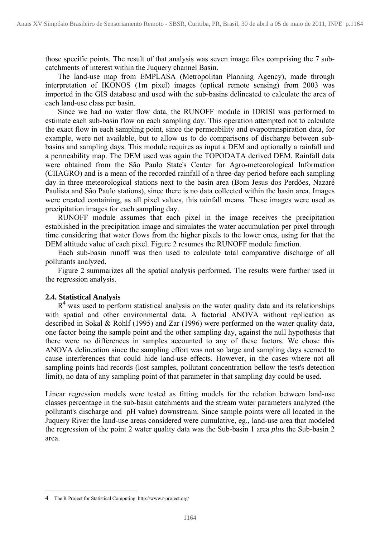those specific points. The result of that analysis was seven image files comprising the 7 subcatchments of interest within the Juquery channel Basin.

 The land-use map from EMPLASA (Metropolitan Planning Agency), made through interpretation of IKONOS (1m pixel) images (optical remote sensing) from 2003 was imported in the GIS database and used with the sub-basins delineated to calculate the area of each land-use class per basin.

 Since we had no water flow data, the RUNOFF module in IDRISI was performed to estimate each sub-basin flow on each sampling day. This operation attempted not to calculate the exact flow in each sampling point, since the permeability and evapotranspiration data, for example, were not available, but to allow us to do comparisons of discharge between subbasins and sampling days. This module requires as input a DEM and optionally a rainfall and a permeability map. The DEM used was again the TOPODATA derived DEM. Rainfall data were obtained from the São Paulo State's Center for Agro-meteorological Information (CIIAGRO) and is a mean of the recorded rainfall of a three-day period before each sampling day in three meteorological stations next to the basin area (Bom Jesus dos Perdões, Nazaré Paulista and São Paulo stations), since there is no data collected within the basin area. Images were created containing, as all pixel values, this rainfall means. These images were used as precipitation images for each sampling day.

 RUNOFF module assumes that each pixel in the image receives the precipitation established in the precipitation image and simulates the water accumulation per pixel through time considering that water flows from the higher pixels to the lower ones, using for that the DEM altitude value of each pixel. Figure 2 resumes the RUNOFF module function.

 Each sub-basin runoff was then used to calculate total comparative discharge of all pollutants analyzed.

 Figure 2 summarizes all the spatial analysis performed. The results were further used in the regression analysis.

## **2.4. Statistical Analysis**

 $R<sup>4</sup>$  was used to perform statistical analysis on the water quality data and its relationships with spatial and other environmental data. A factorial ANOVA without replication as described in Sokal & Rohlf (1995) and Zar (1996) were performed on the water quality data, one factor being the sample point and the other sampling day, against the null hypothesis that there were no differences in samples accounted to any of these factors. We chose this ANOVA delineation since the sampling effort was not so large and sampling days seemed to cause interferences that could hide land-use effects. However, in the cases where not all sampling points had records (lost samples, pollutant concentration bellow the test's detection limit), no data of any sampling point of that parameter in that sampling day could be used.

Linear regression models were tested as fitting models for the relation between land-use classes percentage in the sub-basin catchments and the stream water parameters analyzed (the pollutant's discharge and pH value) downstream. Since sample points were all located in the Juquery River the land-use areas considered were cumulative, eg., land-use area that modeled the regression of the point 2 water quality data was the Sub-basin 1 area *plus* the Sub-basin 2 area.

<u>.</u>

<sup>4</sup> The R Project for Statistical Computing. http://www.r-project.org/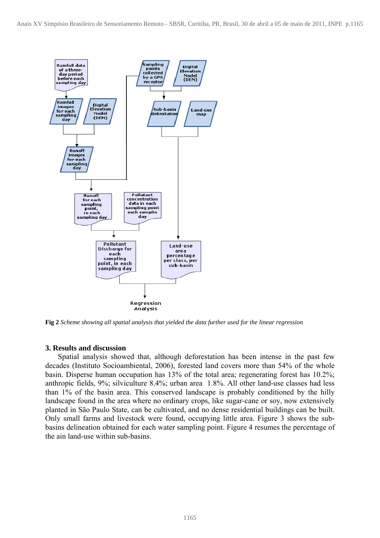

**Fig 2** *Scheme showing all spatial analysis that yielded the data further used for the linear regression*

## **3. Results and discussion**

 Spatial analysis showed that, although deforestation has been intense in the past few decades (Instituto Socioambiental, 2006), forested land covers more than 54% of the whole basin. Disperse human occupation has 13% of the total area; regenerating forest has 10.2%; anthropic fields, 9%; silviculture 8.4%; urban area 1.8%. All other land-use classes had less than 1% of the basin area. This conserved landscape is probably conditioned by the hilly landscape found in the area where no ordinary crops, like sugar-cane or soy, now extensively planted in São Paulo State, can be cultivated, and no dense residential buildings can be built. Only small farms and livestock were found, occupying little area. Figure 3 shows the subbasins delineation obtained for each water sampling point. Figure 4 resumes the percentage of the ain land-use within sub-basins.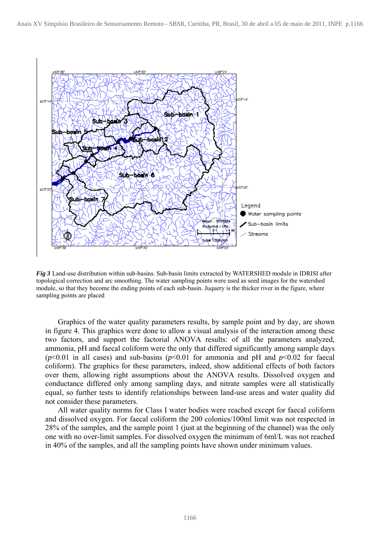

*Fig 3* Land-use distribution within sub-basins. Sub-basin limits extracted by WATERSHED module in IDRISI after topological correction and arc smoothing. The water sampling points were used as seed images for the watershed module, so that they become the ending points of each sub-basin. Juquery is the thicker river in the figure, where sampling points are placed

 Graphics of the water quality parameters results, by sample point and by day, are shown in figure 4. This graphics were done to allow a visual analysis of the interaction among these two factors, and support the factorial ANOVA results: of all the parameters analyzed, ammonia, pH and faecal coliform were the only that differed significantly among sample days ( $p$ <0.01 in all cases) and sub-basins ( $p$ <0.01 for ammonia and  $p$ H and  $p$ <0.02 for faecal coliform). The graphics for these parameters, indeed, show additional effects of both factors over them, allowing right assumptions about the ANOVA results. Dissolved oxygen and conductance differed only among sampling days, and nitrate samples were all statistically equal, so further tests to identify relationships between land-use areas and water quality did not consider these parameters.

All water quality norms for Class I water bodies were reached except for faecal coliform and dissolved oxygen. For faecal coliform the 200 colonies/100ml limit was not respected in 28% of the samples, and the sample point 1 (just at the beginning of the channel) was the only one with no over-limit samples. For dissolved oxygen the minimum of 6ml/L was not reached in 40% of the samples, and all the sampling points have shown under minimum values.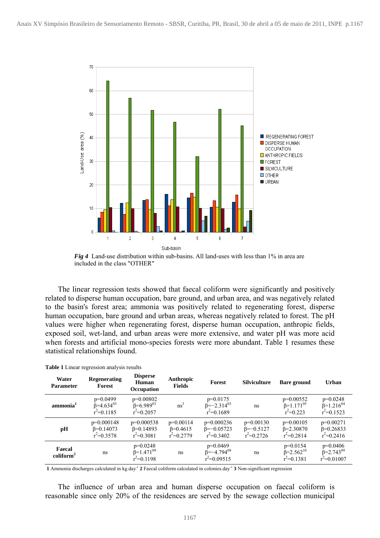

*Fig 4* Land-use distribution within sub-basins. All land-uses with less than 1% in area are included in the class "OTHER"

 The linear regression tests showed that faecal coliform were significantly and positively related to disperse human occupation, bare ground, and urban area, and was negatively related to the basin's forest area; ammonia was positively related to regenerating forest, disperse human occupation, bare ground and urban areas, whereas negatively related to forest. The pH values were higher when regenerating forest, disperse human occupation, anthropic fields, exposed soil, wet-land, and urban areas were more extensive, and water pH was more acid when forests and artificial mono-species forests were more abundant. Table 1 resumes these statistical relationships found.

| Water<br><b>Parameter</b>     | Regenerating<br>Forest                               | <b>Disperse</b><br>Human<br>Occupation               | Anthropic<br><b>Fields</b>                        | Forest                                                 | <b>Silviculture</b>                                | <b>Bare ground</b>                                         | Urban                                                 |
|-------------------------------|------------------------------------------------------|------------------------------------------------------|---------------------------------------------------|--------------------------------------------------------|----------------------------------------------------|------------------------------------------------------------|-------------------------------------------------------|
| ammonia <sup>1</sup>          | $p=0.0499$<br>$\beta = 4.634^{03}$<br>$r^2 = 0.1185$ | $p=0.00802$<br>$\beta = 6.989^{03}$<br>$r^2=0.2057$  | ns <sup>3</sup>                                   | $p=0.0175$<br>$\beta = -2.314^{03}$<br>$r^2=0.1689$    | ns                                                 | $p=0.00552$<br>$\beta$ =1.171 <sup>05</sup><br>$r^2=0.223$ | $p=0.0248$<br>$\beta = 1.216^{04}$<br>$r^2 = 0.1523$  |
| pН                            | $p=0.000148$<br>$\beta = 0.14073$<br>$r^2 = 0.3578$  | $p=0.000538$<br>$\beta = 0.14893$<br>$r^2 = 0.3081$  | $p=0.00114$<br>$\beta = 0.4615$<br>$r^2 = 0.2779$ | $p=0.000236$<br>$\beta = -0.05723$<br>$r^2 = 0.3402$   | $p=0.00130$<br>$\beta = -0.5127$<br>$r^2 = 0.2726$ | $p=0.00105$<br>$\beta = 2.30870$<br>$r^2 = 0.2814$         | $p=0.00271$<br>$\beta = 0.26833$<br>$r^2 = 0.2416$    |
| Faecal<br>$\text{coliform}^2$ | ns                                                   | $p=0.0248$<br>$\beta = 1.471^{09}$<br>$r^2 = 0.1198$ | ns                                                | $p=0.0469$<br>$\beta = -4.794^{08}$<br>$r^2 = 0.09515$ | ns                                                 | $p=0.0154$<br>$\beta = 2.562^{10}$<br>$r^2 = 0.1381$       | $p=0.0406$<br>$\beta = 2.743^{09}$<br>$r^2 = 0.01007$ |

**Table 1** Linear regression analysis results

**1** Ammonia discharges calculated in kg.day-1 **2** Faecal coliform calculated in colonies.day-1 **3** Non-significant regression

The influence of urban area and human disperse occupation on faecal coliform is reasonable since only 20% of the residences are served by the sewage collection municipal